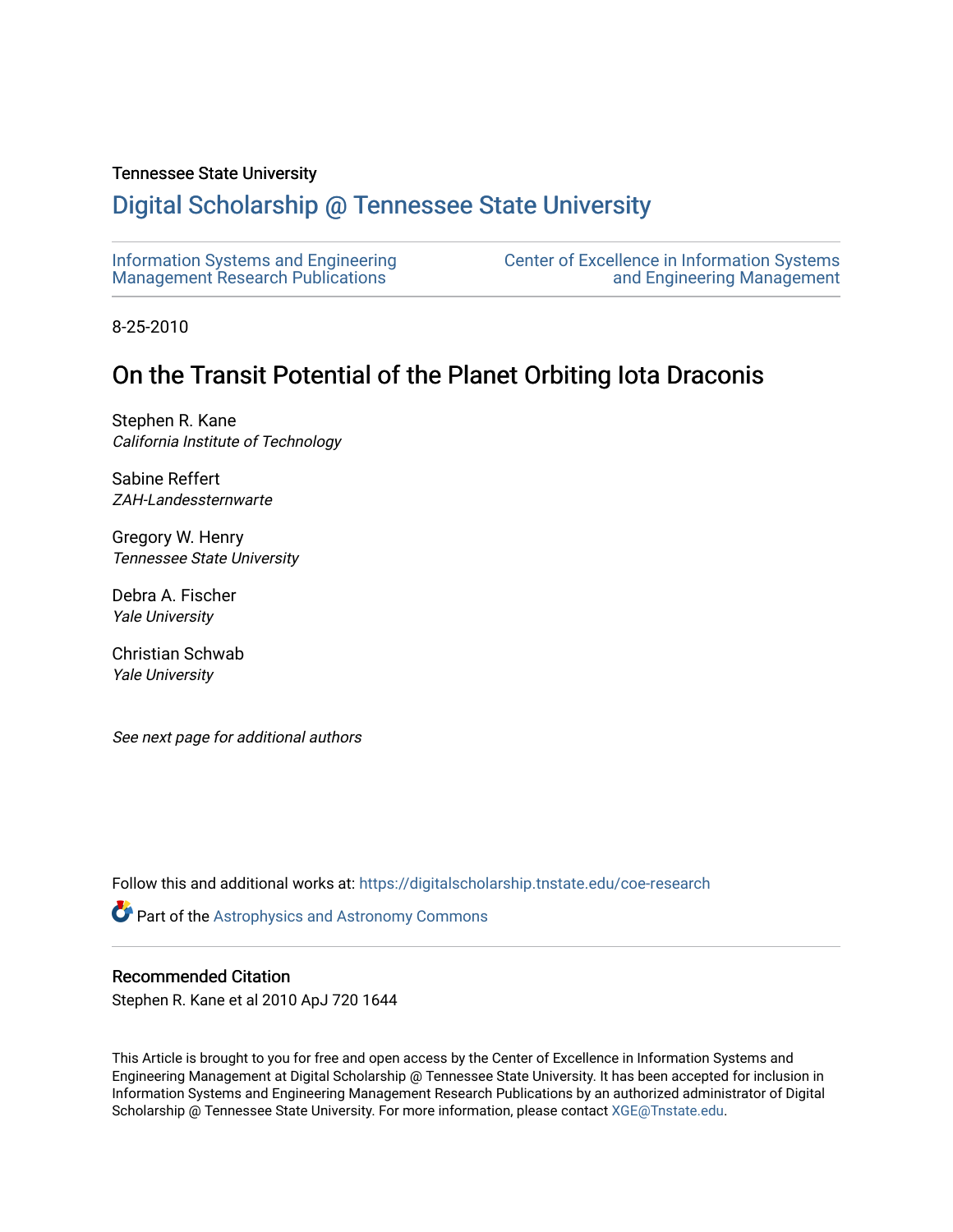## Tennessee State University

# [Digital Scholarship @ Tennessee State University](https://digitalscholarship.tnstate.edu/)

| Information Systems and Engineering | <b>Center of Excellence in Information Systems</b> |
|-------------------------------------|----------------------------------------------------|
| Management Research Publications    | and Engineering Management                         |

8-25-2010

# On the Transit Potential of the Planet Orbiting Iota Draconis

Stephen R. Kane California Institute of Technology

Sabine Reffert ZAH-Landessternwarte

Gregory W. Henry Tennessee State University

Debra A. Fischer Yale University

Christian Schwab Yale University

See next page for additional authors

Follow this and additional works at: [https://digitalscholarship.tnstate.edu/coe-research](https://digitalscholarship.tnstate.edu/coe-research?utm_source=digitalscholarship.tnstate.edu%2Fcoe-research%2F151&utm_medium=PDF&utm_campaign=PDFCoverPages) 

Part of the [Astrophysics and Astronomy Commons](http://network.bepress.com/hgg/discipline/123?utm_source=digitalscholarship.tnstate.edu%2Fcoe-research%2F151&utm_medium=PDF&utm_campaign=PDFCoverPages) 

## Recommended Citation

Stephen R. Kane et al 2010 ApJ 720 1644

This Article is brought to you for free and open access by the Center of Excellence in Information Systems and Engineering Management at Digital Scholarship @ Tennessee State University. It has been accepted for inclusion in Information Systems and Engineering Management Research Publications by an authorized administrator of Digital Scholarship @ Tennessee State University. For more information, please contact [XGE@Tnstate.edu](mailto:XGE@Tnstate.edu).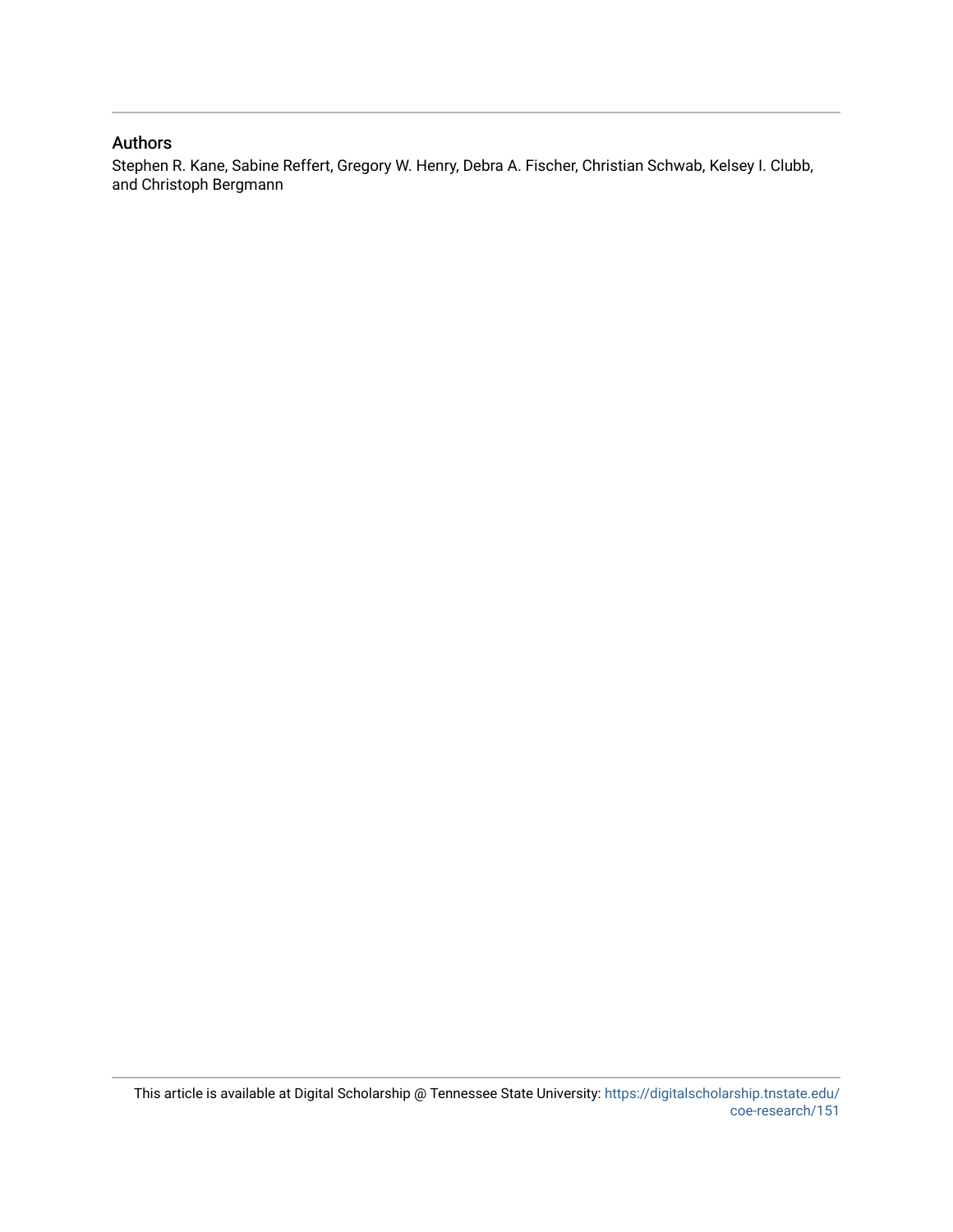# Authors

Stephen R. Kane, Sabine Reffert, Gregory W. Henry, Debra A. Fischer, Christian Schwab, Kelsey I. Clubb, and Christoph Bergmann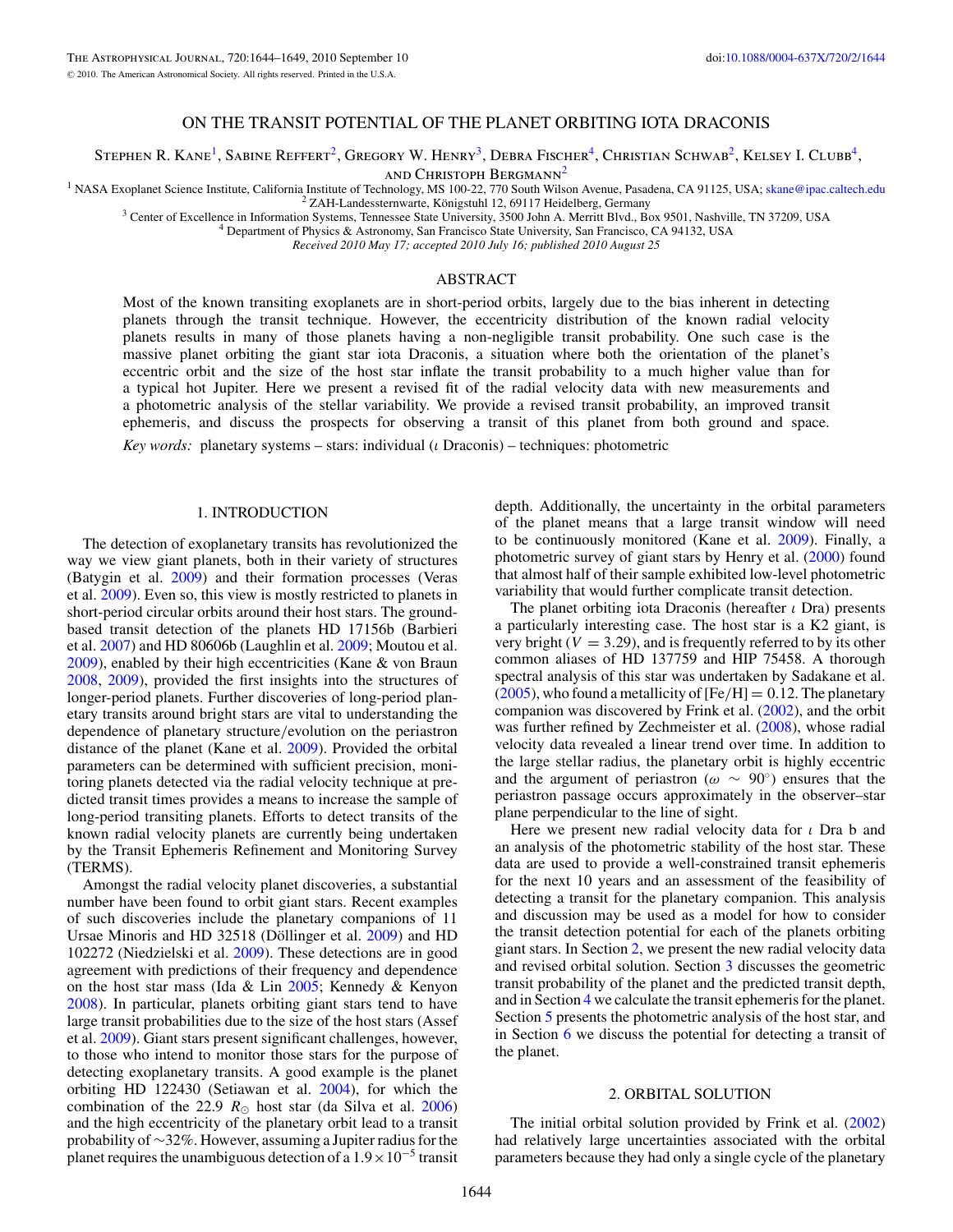## ON THE TRANSIT POTENTIAL OF THE PLANET ORBITING IOTA DRACONIS

Stephen R. Kane<sup>1</sup>, Sabine Reffert<sup>2</sup>, Gregory W. Henry<sup>3</sup>, Debra Fischer<sup>4</sup>, Christian Schwab<sup>2</sup>, Kelsey I. Clubb<sup>4</sup>,

and Christoph Bergmann2

<sup>1</sup> NASA Exoplanet Science Institute, California Institute of Technology, MS 100-22, 770 South Wilson Avenue, Pasadena, CA 91125, USA; [skane@ipac.caltech.edu](mailto:skane@ipac.caltech.edu) <sup>2</sup> ZAH-Landessternwarte, Königstuhl 12, 69117 Heidelberg, Germa

*Received 2010 May 17; accepted 2010 July 16; published 2010 August 25*

### ABSTRACT

Most of the known transiting exoplanets are in short-period orbits, largely due to the bias inherent in detecting planets through the transit technique. However, the eccentricity distribution of the known radial velocity planets results in many of those planets having a non-negligible transit probability. One such case is the massive planet orbiting the giant star iota Draconis, a situation where both the orientation of the planet's eccentric orbit and the size of the host star inflate the transit probability to a much higher value than for a typical hot Jupiter. Here we present a revised fit of the radial velocity data with new measurements and a photometric analysis of the stellar variability. We provide a revised transit probability, an improved transit ephemeris, and discuss the prospects for observing a transit of this planet from both ground and space.

*Key words:* planetary systems – stars: individual (*ι* Draconis) – techniques: photometric

### 1. INTRODUCTION

The detection of exoplanetary transits has revolutionized the way we view giant planets, both in their variety of structures (Batygin et al. [2009\)](#page-7-0) and their formation processes (Veras et al. [2009\)](#page-7-0). Even so, this view is mostly restricted to planets in short-period circular orbits around their host stars. The groundbased transit detection of the planets HD 17156b (Barbieri et al. [2007\)](#page-7-0) and HD 80606b (Laughlin et al. [2009;](#page-7-0) Moutou et al. [2009\)](#page-7-0), enabled by their high eccentricities (Kane & von Braun [2008,](#page-7-0) [2009\)](#page-7-0), provided the first insights into the structures of longer-period planets. Further discoveries of long-period planetary transits around bright stars are vital to understanding the dependence of planetary structure*/*evolution on the periastron distance of the planet (Kane et al. [2009\)](#page-7-0). Provided the orbital parameters can be determined with sufficient precision, monitoring planets detected via the radial velocity technique at predicted transit times provides a means to increase the sample of long-period transiting planets. Efforts to detect transits of the known radial velocity planets are currently being undertaken by the Transit Ephemeris Refinement and Monitoring Survey (TERMS).

Amongst the radial velocity planet discoveries, a substantial number have been found to orbit giant stars. Recent examples of such discoveries include the planetary companions of 11 Ursae Minoris and HD 32518 (Döllinger et al. [2009\)](#page-7-0) and HD 102272 (Niedzielski et al. [2009\)](#page-7-0). These detections are in good agreement with predictions of their frequency and dependence on the host star mass (Ida & Lin [2005;](#page-7-0) Kennedy & Kenyon [2008\)](#page-7-0). In particular, planets orbiting giant stars tend to have large transit probabilities due to the size of the host stars (Assef et al. [2009\)](#page-7-0). Giant stars present significant challenges, however, to those who intend to monitor those stars for the purpose of detecting exoplanetary transits. A good example is the planet orbiting HD 122430 (Setiawan et al. [2004\)](#page-7-0), for which the combination of the 22.9  $R_{\odot}$  host star (da Silva et al. [2006\)](#page-7-0) and the high eccentricity of the planetary orbit lead to a transit probability of ∼32%. However, assuming a Jupiter radius for the planet requires the unambiguous detection of a  $1.9 \times 10^{-5}$  transit depth. Additionally, the uncertainty in the orbital parameters of the planet means that a large transit window will need to be continuously monitored (Kane et al. [2009\)](#page-7-0). Finally, a photometric survey of giant stars by Henry et al. [\(2000\)](#page-7-0) found that almost half of their sample exhibited low-level photometric variability that would further complicate transit detection.

The planet orbiting iota Draconis (hereafter *ι* Dra) presents a particularly interesting case. The host star is a K2 giant, is very bright ( $V = 3.29$ ), and is frequently referred to by its other common aliases of HD 137759 and HIP 75458. A thorough spectral analysis of this star was undertaken by Sadakane et al.  $(2005)$ , who found a metallicity of  $[Fe/H] = 0.12$ . The planetary companion was discovered by Frink et al. [\(2002\)](#page-7-0), and the orbit was further refined by Zechmeister et al. [\(2008\)](#page-7-0), whose radial velocity data revealed a linear trend over time. In addition to the large stellar radius, the planetary orbit is highly eccentric and the argument of periastron ( $\omega \sim 90^{\circ}$ ) ensures that the periastron passage occurs approximately in the observer–star plane perpendicular to the line of sight.

Here we present new radial velocity data for *ι* Dra b and an analysis of the photometric stability of the host star. These data are used to provide a well-constrained transit ephemeris for the next 10 years and an assessment of the feasibility of detecting a transit for the planetary companion. This analysis and discussion may be used as a model for how to consider the transit detection potential for each of the planets orbiting giant stars. In Section 2, we present the new radial velocity data and revised orbital solution. Section [3](#page-3-0) discusses the geometric transit probability of the planet and the predicted transit depth, and in Section [4](#page-4-0) we calculate the transit ephemeris for the planet. Section [5](#page-4-0) presents the photometric analysis of the host star, and in Section [6](#page-6-0) we discuss the potential for detecting a transit of the planet.

#### 2. ORBITAL SOLUTION

The initial orbital solution provided by Frink et al. [\(2002\)](#page-7-0) had relatively large uncertainties associated with the orbital parameters because they had only a single cycle of the planetary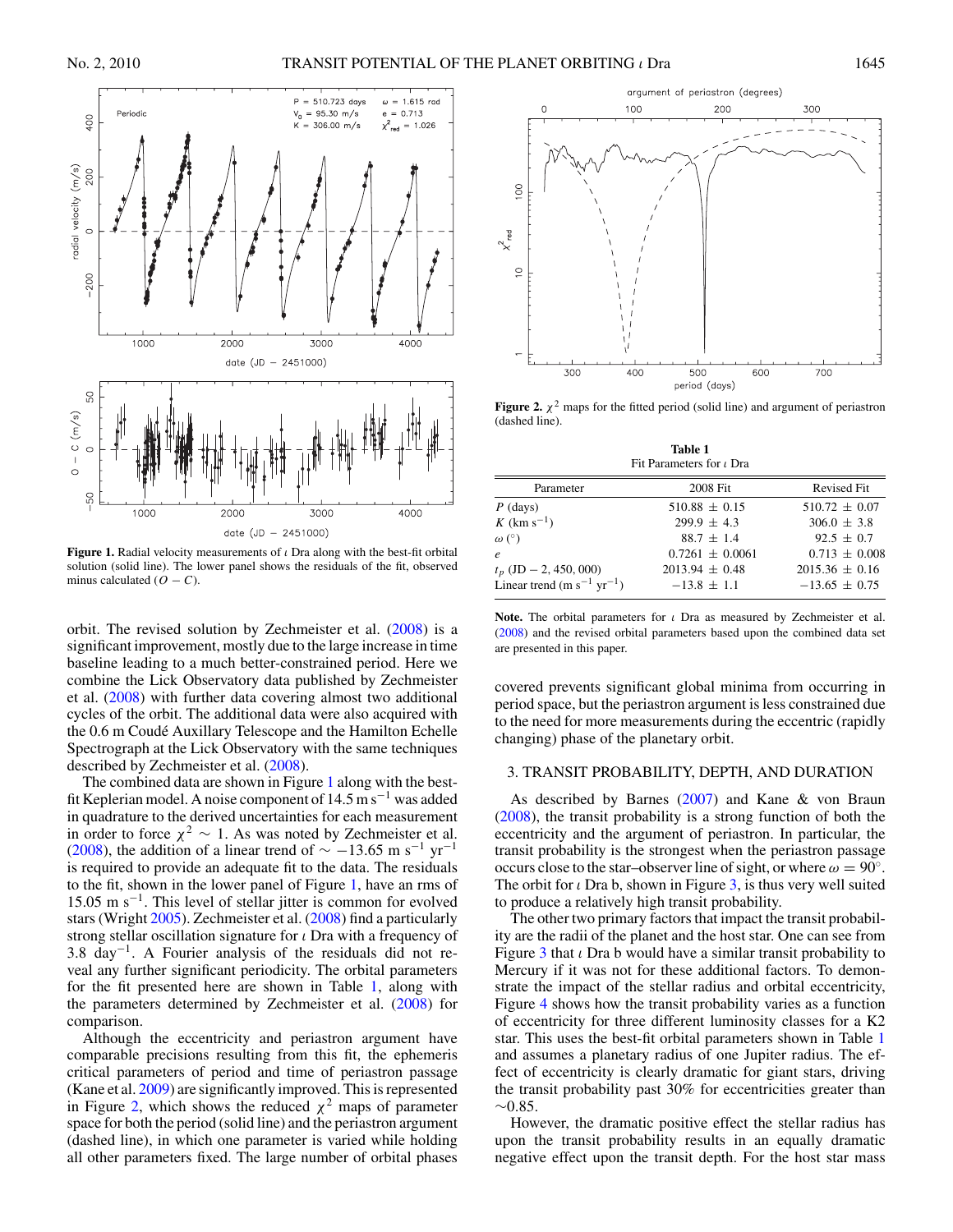<span id="page-3-0"></span>

**Figure 1.** Radial velocity measurements of *ι* Dra along with the best-fit orbital solution (solid line). The lower panel shows the residuals of the fit, observed minus calculated  $(O - C)$ .

orbit. The revised solution by Zechmeister et al. [\(2008\)](#page-7-0) is a significant improvement, mostly due to the large increase in time baseline leading to a much better-constrained period. Here we combine the Lick Observatory data published by Zechmeister et al. [\(2008\)](#page-7-0) with further data covering almost two additional cycles of the orbit. The additional data were also acquired with the 0.6 m Coudé Auxillary Telescope and the Hamilton Echelle Spectrograph at the Lick Observatory with the same techniques described by Zechmeister et al. [\(2008\)](#page-7-0).

The combined data are shown in Figure 1 along with the bestfit Keplerian model. A noise component of  $14.5 \text{ m s}^{-1}$  was added in quadrature to the derived uncertainties for each measurement in order to force *<sup>χ</sup>*<sup>2</sup> <sup>∼</sup> 1. As was noted by Zechmeister et al. [\(2008\)](#page-7-0), the addition of a linear trend of  $\sim -13.65$  m s<sup>-1</sup> yr<sup>-1</sup> is required to provide an adequate fit to the data. The residuals to the fit, shown in the lower panel of Figure 1, have an rms of 15.05 m s−1. This level of stellar jitter is common for evolved stars (Wright [2005\)](#page-7-0). Zechmeister et al. [\(2008\)](#page-7-0) find a particularly strong stellar oscillation signature for *ι* Dra with a frequency of 3.8 day−1. A Fourier analysis of the residuals did not reveal any further significant periodicity. The orbital parameters for the fit presented here are shown in Table 1, along with the parameters determined by Zechmeister et al.  $(2008)$  for comparison.

Although the eccentricity and periastron argument have comparable precisions resulting from this fit, the ephemeris critical parameters of period and time of periastron passage (Kane et al. [2009\)](#page-7-0) are significantly improved. This is represented in Figure 2, which shows the reduced  $\chi^2$  maps of parameter space for both the period (solid line) and the periastron argument (dashed line), in which one parameter is varied while holding all other parameters fixed. The large number of orbital phases



**Figure 2.**  $\chi^2$  maps for the fitted period (solid line) and argument of periastron (dashed line).

**Table 1** Fit Parameters for *ι* Dra

| Parameter                                          | 2008 Fit            | <b>Revised Fit</b> |
|----------------------------------------------------|---------------------|--------------------|
| $P$ (days)                                         | $510.88 \pm 0.15$   | $510.72 \pm 0.07$  |
| K (km $s^{-1}$ )                                   | $299.9 \pm 4.3$     | $306.0 \pm 3.8$    |
| $\omega$ (°)                                       | $88.7 \pm 1.4$      | $92.5 \pm 0.7$     |
| $\boldsymbol{e}$                                   | $0.7261 \pm 0.0061$ | $0.713 \pm 0.008$  |
| $t_p$ (JD $-$ 2, 450, 000)                         | $2013.94 \pm 0.48$  | $2015.36 \pm 0.16$ |
| Linear trend (m s <sup>-1</sup> yr <sup>-1</sup> ) | $-13.8 \pm 1.1$     | $-13.65 \pm 0.75$  |

**Note.** The orbital parameters for *ι* Dra as measured by Zechmeister et al. [\(2008\)](#page-7-0) and the revised orbital parameters based upon the combined data set are presented in this paper.

covered prevents significant global minima from occurring in period space, but the periastron argument is less constrained due to the need for more measurements during the eccentric (rapidly changing) phase of the planetary orbit.

#### 3. TRANSIT PROBABILITY, DEPTH, AND DURATION

As described by Barnes  $(2007)$  and Kane & von Braun [\(2008\)](#page-7-0), the transit probability is a strong function of both the eccentricity and the argument of periastron. In particular, the transit probability is the strongest when the periastron passage occurs close to the star–observer line of sight, or where  $\omega = 90^\circ$ . The orbit for *ι* Dra b, shown in Figure [3,](#page-4-0) is thus very well suited to produce a relatively high transit probability.

The other two primary factors that impact the transit probability are the radii of the planet and the host star. One can see from Figure [3](#page-4-0) that *ι* Dra b would have a similar transit probability to Mercury if it was not for these additional factors. To demonstrate the impact of the stellar radius and orbital eccentricity, Figure [4](#page-4-0) shows how the transit probability varies as a function of eccentricity for three different luminosity classes for a K2 star. This uses the best-fit orbital parameters shown in Table 1 and assumes a planetary radius of one Jupiter radius. The effect of eccentricity is clearly dramatic for giant stars, driving the transit probability past 30% for eccentricities greater than ∼0*.*85.

However, the dramatic positive effect the stellar radius has upon the transit probability results in an equally dramatic negative effect upon the transit depth. For the host star mass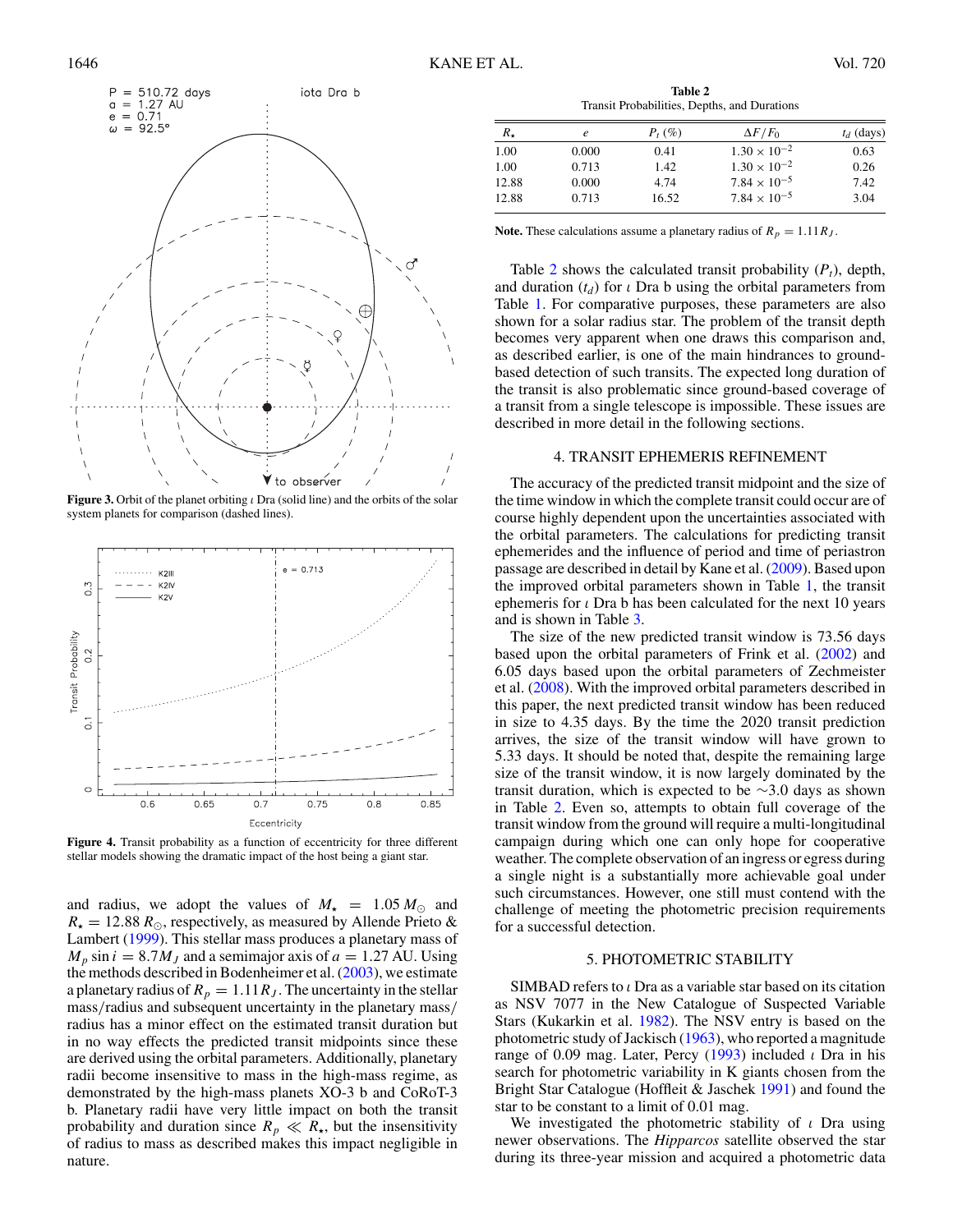<span id="page-4-0"></span>

**Figure 3.** Orbit of the planet orbiting *ι* Dra (solid line) and the orbits of the solar system planets for comparison (dashed lines).



**Figure 4.** Transit probability as a function of eccentricity for three different stellar models showing the dramatic impact of the host being a giant star.

and radius, we adopt the values of  $M_{\star} = 1.05 M_{\odot}$  and  $R_{\star} = 12.88 R_{\odot}$ , respectively, as measured by Allende Prieto & Lambert [\(1999\)](#page-7-0). This stellar mass produces a planetary mass of  $M_p \sin i = 8.7 M_J$  and a semimajor axis of  $a = 1.27$  AU. Using the methods described in Bodenheimer et al. [\(2003\)](#page-7-0), we estimate a planetary radius of  $R_p = 1.11 R_J$ . The uncertainty in the stellar mass*/*radius and subsequent uncertainty in the planetary mass*/* radius has a minor effect on the estimated transit duration but in no way effects the predicted transit midpoints since these are derived using the orbital parameters. Additionally, planetary radii become insensitive to mass in the high-mass regime, as demonstrated by the high-mass planets XO-3 b and CoRoT-3 b. Planetary radii have very little impact on both the transit probability and duration since  $R_p \ll R_{\star}$ , but the insensitivity of radius to mass as described makes this impact negligible in nature.

**Table 2** Transit Probabilities, Depths, and Durations

| $R_{\star}$ | e     | $P_t$ (%) | $\Delta F/F_0$        | $t_d$ (days) |
|-------------|-------|-----------|-----------------------|--------------|
| 1.00        | 0.000 | 0.41      | $1.30 \times 10^{-2}$ | 0.63         |
| 1.00        | 0.713 | 1.42      | $1.30 \times 10^{-2}$ | 0.26         |
| 12.88       | 0.000 | 4.74      | $7.84 \times 10^{-5}$ | 7.42         |
| 12.88       | 0.713 | 16.52     | $7.84 \times 10^{-5}$ | 3.04         |

**Note.** These calculations assume a planetary radius of  $R_p = 1.11 R_J$ .

Table 2 shows the calculated transit probability  $(P_t)$ , depth, and duration  $(t_d)$  for *ι* Dra b using the orbital parameters from Table [1.](#page-3-0) For comparative purposes, these parameters are also shown for a solar radius star. The problem of the transit depth becomes very apparent when one draws this comparison and, as described earlier, is one of the main hindrances to groundbased detection of such transits. The expected long duration of the transit is also problematic since ground-based coverage of a transit from a single telescope is impossible. These issues are described in more detail in the following sections.

#### 4. TRANSIT EPHEMERIS REFINEMENT

The accuracy of the predicted transit midpoint and the size of the time window in which the complete transit could occur are of course highly dependent upon the uncertainties associated with the orbital parameters. The calculations for predicting transit ephemerides and the influence of period and time of periastron passage are described in detail by Kane et al. [\(2009\)](#page-7-0). Based upon the improved orbital parameters shown in Table [1,](#page-3-0) the transit ephemeris for *ι* Dra b has been calculated for the next 10 years and is shown in Table [3.](#page-5-0)

The size of the new predicted transit window is 73.56 days based upon the orbital parameters of Frink et al. [\(2002\)](#page-7-0) and 6.05 days based upon the orbital parameters of Zechmeister et al. [\(2008\)](#page-7-0). With the improved orbital parameters described in this paper, the next predicted transit window has been reduced in size to 4.35 days. By the time the 2020 transit prediction arrives, the size of the transit window will have grown to 5.33 days. It should be noted that, despite the remaining large size of the transit window, it is now largely dominated by the transit duration, which is expected to be ∼3*.*0 days as shown in Table 2. Even so, attempts to obtain full coverage of the transit window from the ground will require a multi-longitudinal campaign during which one can only hope for cooperative weather. The complete observation of an ingress or egress during a single night is a substantially more achievable goal under such circumstances. However, one still must contend with the challenge of meeting the photometric precision requirements for a successful detection.

#### 5. PHOTOMETRIC STABILITY

SIMBAD refers to *ι* Dra as a variable star based on its citation as NSV 7077 in the New Catalogue of Suspected Variable Stars (Kukarkin et al. [1982\)](#page-7-0). The NSV entry is based on the photometric study of Jackisch [\(1963\)](#page-7-0), who reported a magnitude range of 0.09 mag. Later, Percy [\(1993\)](#page-7-0) included *ι* Dra in his search for photometric variability in K giants chosen from the Bright Star Catalogue (Hoffleit & Jaschek [1991\)](#page-7-0) and found the star to be constant to a limit of 0.01 mag.

We investigated the photometric stability of *ι* Dra using newer observations. The *Hipparcos* satellite observed the star during its three-year mission and acquired a photometric data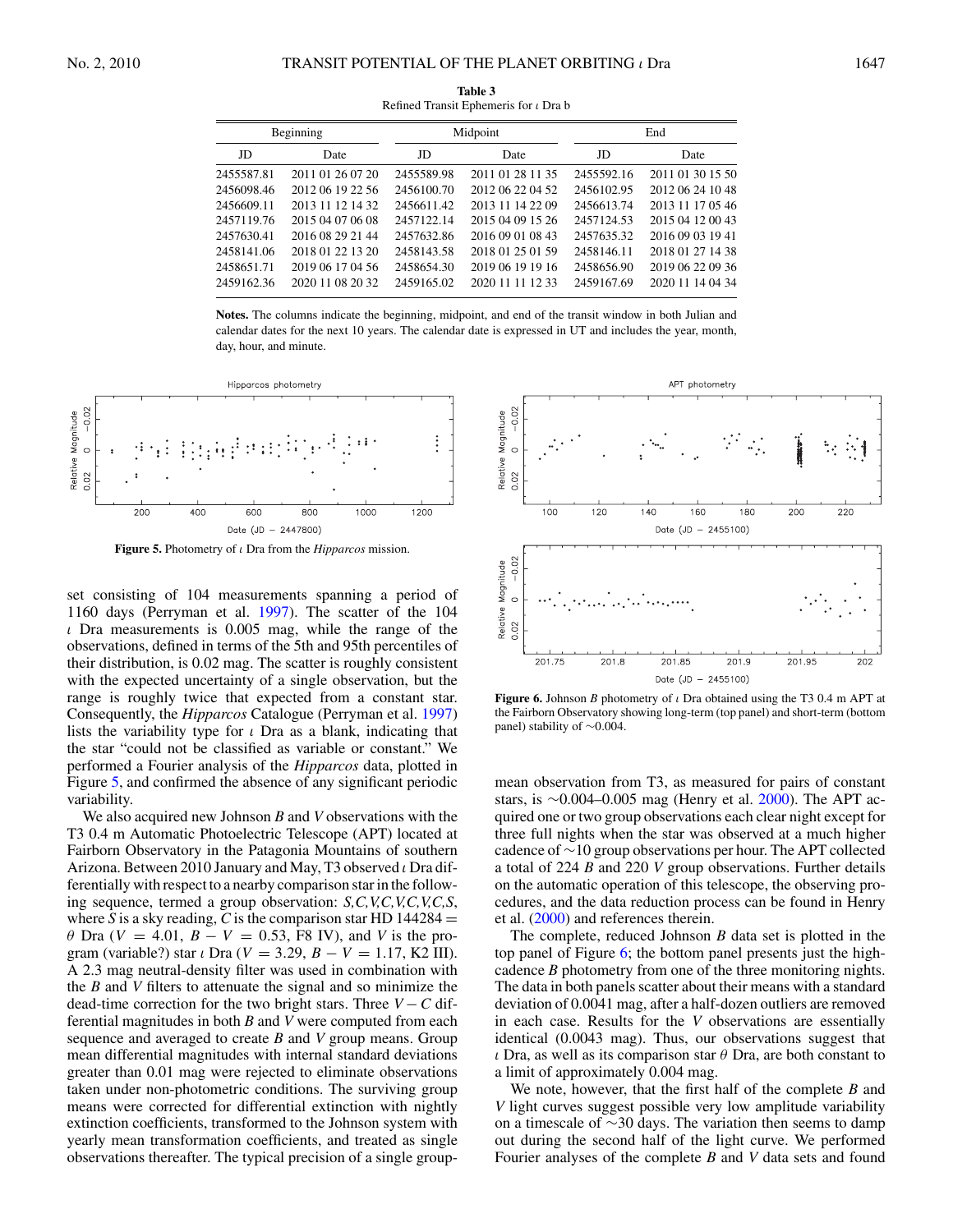<span id="page-5-0"></span>

|            | Beginning        | Midpoint   |                  | End        |                  |
|------------|------------------|------------|------------------|------------|------------------|
| JD         | Date             | JD         | Date             | JD         | Date             |
| 2455587.81 | 2011 01 26 07 20 | 2455589.98 | 2011 01 28 11 35 | 2455592.16 | 2011 01 30 15 50 |
| 2456098.46 | 2012 06 19 22 56 | 2456100.70 | 2012 06 22 04 52 | 2456102.95 | 2012 06 24 10 48 |
| 2456609.11 | 2013 11 12 14 32 | 2456611.42 | 2013 11 14 22 09 | 2456613.74 | 2013 11 17 05 46 |
| 2457119.76 | 2015 04 07 06 08 | 2457122.14 | 2015 04 09 15 26 | 2457124.53 | 2015 04 12 00 43 |
| 2457630.41 | 2016 08 29 21 44 | 2457632.86 | 2016 09 01 08 43 | 2457635.32 | 2016 09 03 19 41 |
| 2458141.06 | 2018 01 22 13 20 | 2458143.58 | 2018 01 25 01 59 | 2458146.11 | 2018 01 27 14 38 |
| 2458651.71 | 2019 06 17 04 56 | 2458654.30 | 2019 06 19 19 16 | 2458656.90 | 2019 06 22 09 36 |
| 2459162.36 | 2020 11 08 20 32 | 2459165.02 | 2020 11 11 12 33 | 2459167.69 | 2020 11 14 04 34 |

**Table 3** Refined Transit Ephemeris for *ι* Dra b

**Notes.** The columns indicate the beginning, midpoint, and end of the transit window in both Julian and calendar dates for the next 10 years. The calendar date is expressed in UT and includes the year, month, day, hour, and minute.



**Figure 5.** Photometry of *ι* Dra from the *Hipparcos* mission.

set consisting of 104 measurements spanning a period of 1160 days (Perryman et al. [1997\)](#page-7-0). The scatter of the 104 *ι* Dra measurements is 0.005 mag, while the range of the observations, defined in terms of the 5th and 95th percentiles of their distribution, is 0.02 mag. The scatter is roughly consistent with the expected uncertainty of a single observation, but the range is roughly twice that expected from a constant star. Consequently, the *Hipparcos* Catalogue (Perryman et al. [1997\)](#page-7-0) lists the variability type for *ι* Dra as a blank, indicating that the star "could not be classified as variable or constant." We performed a Fourier analysis of the *Hipparcos* data, plotted in Figure 5, and confirmed the absence of any significant periodic variability.

We also acquired new Johnson *B* and *V* observations with the T3 0.4 m Automatic Photoelectric Telescope (APT) located at Fairborn Observatory in the Patagonia Mountains of southern Arizona. Between 2010 January and May, T3 observed *ι* Dra differentially with respect to a nearby comparison star in the following sequence, termed a group observation: *S,C,V,C,V,C,V,C,S*, where *S* is a sky reading, *C* is the comparison star HD  $144284 =$ *θ* Dra (*V* = 4*.*01, *B* − *V* = 0*.*53, F8 IV), and *V* is the program (variable?) star *ι* Dra (*V* = 3*.*29, *B* − *V* = 1*.*17, K2 III). A 2.3 mag neutral-density filter was used in combination with the *B* and *V* filters to attenuate the signal and so minimize the dead-time correction for the two bright stars. Three *V* − *C* differential magnitudes in both *B* and *V* were computed from each sequence and averaged to create *B* and *V* group means. Group mean differential magnitudes with internal standard deviations greater than 0.01 mag were rejected to eliminate observations taken under non-photometric conditions. The surviving group means were corrected for differential extinction with nightly extinction coefficients, transformed to the Johnson system with yearly mean transformation coefficients, and treated as single observations thereafter. The typical precision of a single group-



**Figure 6.** Johnson *B* photometry of *ι* Dra obtained using the T3 0.4 m APT at the Fairborn Observatory showing long-term (top panel) and short-term (bottom panel) stability of ∼0*.*004.

mean observation from T3, as measured for pairs of constant stars, is ~0.004–0.005 mag (Henry et al. [2000\)](#page-7-0). The APT acquired one or two group observations each clear night except for three full nights when the star was observed at a much higher cadence of ∼10 group observations per hour. The APT collected a total of 224 *B* and 220 *V* group observations. Further details on the automatic operation of this telescope, the observing procedures, and the data reduction process can be found in Henry et al. [\(2000\)](#page-7-0) and references therein.

The complete, reduced Johnson *B* data set is plotted in the top panel of Figure 6; the bottom panel presents just the highcadence *B* photometry from one of the three monitoring nights. The data in both panels scatter about their means with a standard deviation of 0.0041 mag, after a half-dozen outliers are removed in each case. Results for the *V* observations are essentially identical (0.0043 mag). Thus, our observations suggest that *ι* Dra, as well as its comparison star *θ* Dra, are both constant to a limit of approximately 0.004 mag.

We note, however, that the first half of the complete *B* and *V* light curves suggest possible very low amplitude variability on a timescale of ∼30 days. The variation then seems to damp out during the second half of the light curve. We performed Fourier analyses of the complete *B* and *V* data sets and found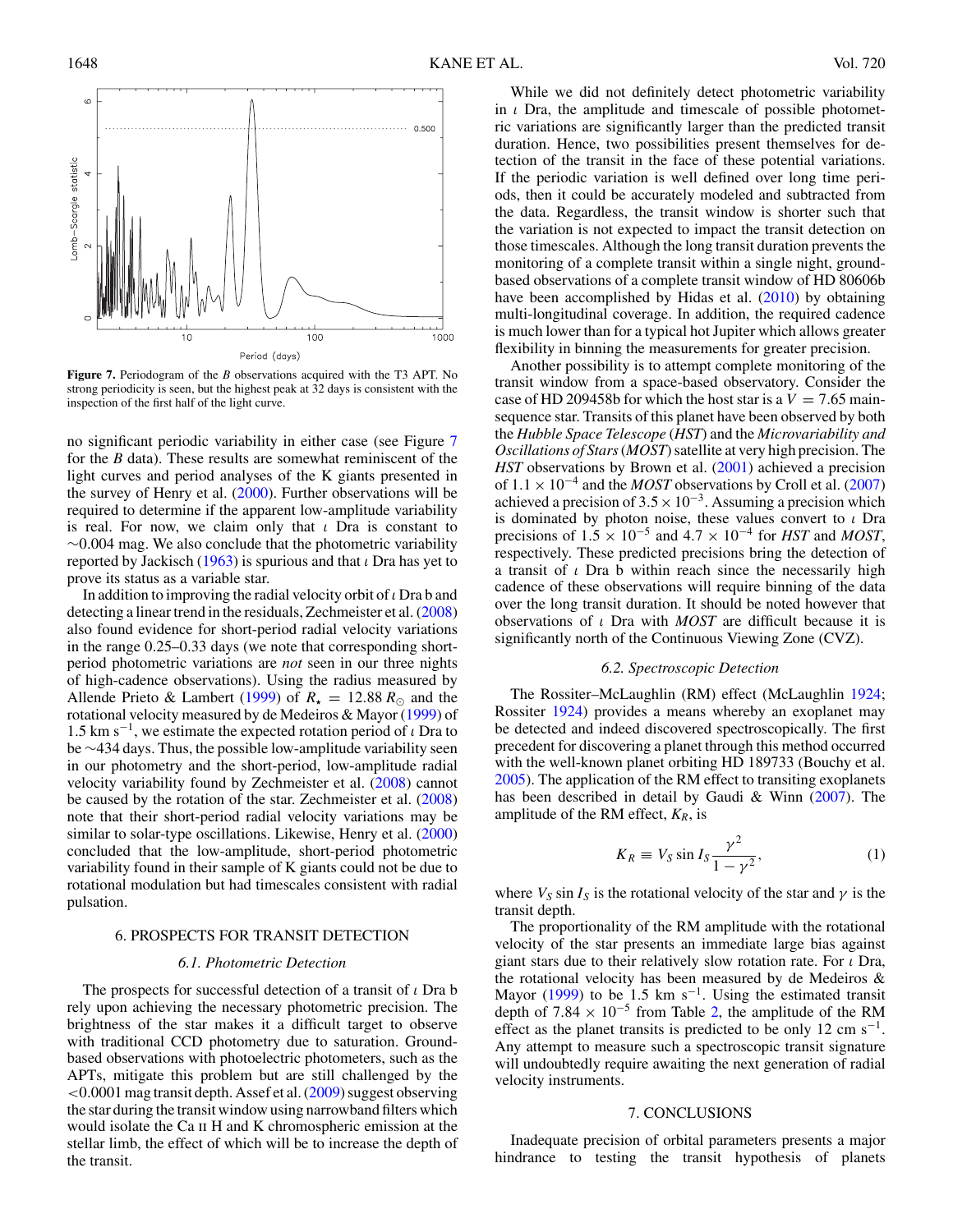<span id="page-6-0"></span>

**Figure 7.** Periodogram of the *B* observations acquired with the T3 APT. No strong periodicity is seen, but the highest peak at 32 days is consistent with the inspection of the first half of the light curve.

no significant periodic variability in either case (see Figure 7 for the *B* data). These results are somewhat reminiscent of the light curves and period analyses of the K giants presented in the survey of Henry et al.  $(2000)$ . Further observations will be required to determine if the apparent low-amplitude variability is real. For now, we claim only that *ι* Dra is constant to ∼0*.*004 mag. We also conclude that the photometric variability reported by Jackisch [\(1963\)](#page-7-0) is spurious and that *ι* Dra has yet to prove its status as a variable star.

In addition to improving the radial velocity orbit of*ι* Dra b and detecting a linear trend in the residuals, Zechmeister et al. [\(2008\)](#page-7-0) also found evidence for short-period radial velocity variations in the range 0.25–0.33 days (we note that corresponding shortperiod photometric variations are *not* seen in our three nights of high-cadence observations). Using the radius measured by Allende Prieto & Lambert [\(1999\)](#page-7-0) of  $R_{\star} = 12.88 R_{\odot}$  and the rotational velocity measured by de Medeiros & Mayor [\(1999\)](#page-7-0) of 1.5 km s−1, we estimate the expected rotation period of *ι* Dra to be ∼434 days. Thus, the possible low-amplitude variability seen in our photometry and the short-period, low-amplitude radial velocity variability found by Zechmeister et al. [\(2008\)](#page-7-0) cannot be caused by the rotation of the star. Zechmeister et al. [\(2008\)](#page-7-0) note that their short-period radial velocity variations may be similar to solar-type oscillations. Likewise, Henry et al. [\(2000\)](#page-7-0) concluded that the low-amplitude, short-period photometric variability found in their sample of K giants could not be due to rotational modulation but had timescales consistent with radial pulsation.

#### 6. PROSPECTS FOR TRANSIT DETECTION

#### *6.1. Photometric Detection*

The prospects for successful detection of a transit of *ι* Dra b rely upon achieving the necessary photometric precision. The brightness of the star makes it a difficult target to observe with traditional CCD photometry due to saturation. Groundbased observations with photoelectric photometers, such as the APTs, mitigate this problem but are still challenged by the *<*0*.*0001 mag transit depth. Assef et al. [\(2009\)](#page-7-0) suggest observing the star during the transit window using narrowband filters which would isolate the Ca ii H and K chromospheric emission at the stellar limb, the effect of which will be to increase the depth of the transit.

While we did not definitely detect photometric variability in *ι* Dra, the amplitude and timescale of possible photometric variations are significantly larger than the predicted transit duration. Hence, two possibilities present themselves for detection of the transit in the face of these potential variations. If the periodic variation is well defined over long time periods, then it could be accurately modeled and subtracted from the data. Regardless, the transit window is shorter such that the variation is not expected to impact the transit detection on those timescales. Although the long transit duration prevents the monitoring of a complete transit within a single night, groundbased observations of a complete transit window of HD 80606b have been accomplished by Hidas et al.  $(2010)$  by obtaining multi-longitudinal coverage. In addition, the required cadence is much lower than for a typical hot Jupiter which allows greater flexibility in binning the measurements for greater precision.

Another possibility is to attempt complete monitoring of the transit window from a space-based observatory. Consider the case of HD 209458b for which the host star is a  $V = 7.65$  mainsequence star. Transits of this planet have been observed by both the *Hubble Space Telescope* (*HST*) and the *Microvariability and Oscillations of Stars*(*MOST*) satellite at very high precision. The *HST* observations by Brown et al. [\(2001\)](#page-7-0) achieved a precision of  $1.1 \times 10^{-4}$  and the *MOST* observations by Croll et al. [\(2007\)](#page-7-0) achieved a precision of  $3.5 \times 10^{-3}$ . Assuming a precision which is dominated by photon noise, these values convert to *ι* Dra precisions of  $1.5 \times 10^{-5}$  and  $4.7 \times 10^{-4}$  for *HST* and *MOST*, respectively. These predicted precisions bring the detection of a transit of *ι* Dra b within reach since the necessarily high cadence of these observations will require binning of the data over the long transit duration. It should be noted however that observations of *ι* Dra with *MOST* are difficult because it is significantly north of the Continuous Viewing Zone (CVZ).

#### *6.2. Spectroscopic Detection*

The Rossiter–McLaughlin (RM) effect (McLaughlin [1924;](#page-7-0) Rossiter [1924\)](#page-7-0) provides a means whereby an exoplanet may be detected and indeed discovered spectroscopically. The first precedent for discovering a planet through this method occurred with the well-known planet orbiting HD 189733 (Bouchy et al. [2005\)](#page-7-0). The application of the RM effect to transiting exoplanets has been described in detail by Gaudi & Winn  $(2007)$ . The amplitude of the RM effect,  $K_R$ , is

$$
K_R \equiv V_S \sin I_S \frac{\gamma^2}{1 - \gamma^2},\tag{1}
$$

where  $V_S \sin I_S$  is the rotational velocity of the star and  $\gamma$  is the transit depth.

The proportionality of the RM amplitude with the rotational velocity of the star presents an immediate large bias against giant stars due to their relatively slow rotation rate. For *ι* Dra, the rotational velocity has been measured by de Medeiros & Mayor [\(1999\)](#page-7-0) to be 1.5 km s<sup>-1</sup>. Using the estimated transit depth of  $7.84 \times 10^{-5}$  from Table [2,](#page-4-0) the amplitude of the RM effect as the planet transits is predicted to be only 12 cm s<sup>-1</sup>. Any attempt to measure such a spectroscopic transit signature will undoubtedly require awaiting the next generation of radial velocity instruments.

#### 7. CONCLUSIONS

Inadequate precision of orbital parameters presents a major hindrance to testing the transit hypothesis of planets